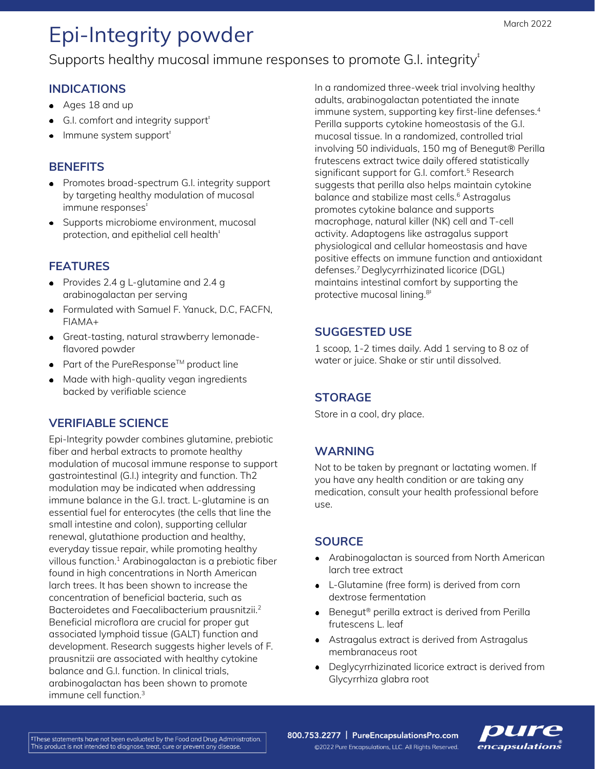# Epi-Integrity powder

# Supports healthy mucosal immune responses to promote G.I. integrity<sup>#</sup>

### **INDICATIONS**

- Ages 18 and up
- G.I. comfort and integrity support<sup>†</sup>
- Immune system support<sup>+</sup>

#### **BENEFITS**

- Promotes broad-spectrum G.I. integrity support by targeting healthy modulation of mucosal immune responses<sup>+</sup>
- Supports microbiome environment, mucosal protection, and epithelial cell health<sup>#</sup>

## **FEATURES**

- Provides 2.4 g L-glutamine and 2.4 g arabinogalactan per serving
- Formulated with Samuel F. Yanuck, D.C, FACFN, FIAMA+
- Great-tasting, natural strawberry lemonadeflavored powder
- $\bullet$  Part of the PureResponse<sup>TM</sup> product line
- Made with high-quality vegan ingredients backed by verifiable science

### **VERIFIABLE SCIENCE**

Epi-Integrity powder combines glutamine, prebiotic fiber and herbal extracts to promote healthy modulation of mucosal immune response to support gastrointestinal (G.I.) integrity and function. Th2 modulation may be indicated when addressing immune balance in the G.I. tract. L-glutamine is an essential fuel for enterocytes (the cells that line the small intestine and colon), supporting cellular renewal, glutathione production and healthy, everyday tissue repair, while promoting healthy villous function. $1$  Arabinogalactan is a prebiotic fiber found in high concentrations in North American larch trees. It has been shown to increase the concentration of beneficial bacteria, such as Bacteroidetes and Faecalibacterium prausnitzii.<sup>2</sup> Beneficial microflora are crucial for proper gut associated lymphoid tissue (GALT) function and development. Research suggests higher levels of F. prausnitzii are associated with healthy cytokine balance and G.I. function. In clinical trials, arabinogalactan has been shown to promote immune cell function.<sup>3</sup>

In a randomized three-week trial involving healthy adults, arabinogalactan potentiated the innate immune system, supporting key first-line defenses.<sup>4</sup> Perilla supports cytokine homeostasis of the G.I. mucosal tissue. In a randomized, controlled trial involving 50 individuals, 150 mg of Benegut® Perilla frutescens extract twice daily offered statistically significant support for G.I. comfort.<sup>5</sup> Research suggests that perilla also helps maintain cytokine balance and stabilize mast cells.<sup>6</sup> Astragalus promotes cytokine balance and supports macrophage, natural killer (NK) cell and T-cell activity. Adaptogens like astragalus support physiological and cellular homeostasis and have positive effects on immune function and antioxidant defenses.<sup>7</sup>Deglycyrrhizinated licorice (DGL) maintains intestinal comfort by supporting the protective mucosal lining.<sup>8‡</sup>

#### **SUGGESTED USE**

1 scoop, 1-2 times daily. Add 1 serving to 8 oz of water or juice. Shake or stir until dissolved.

### **STORAGE**

Store in a cool, dry place.

#### **WARNING**

Not to be taken by pregnant or lactating women. If you have any health condition or are taking any medication, consult your health professional before use.

#### **SOURCE**

- Arabinogalactan is sourced from North American larch tree extract
- L-Glutamine (free form) is derived from corn dextrose fermentation
- Benegut® perilla extract is derived from Perilla frutescens L. leaf
- Astragalus extract is derived from Astragalus membranaceus root
- Deglycyrrhizinated licorice extract is derived from Glycyrrhiza glabra root